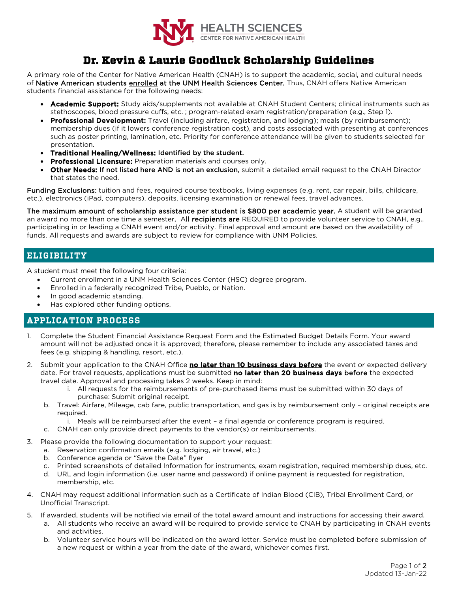

# **Dr. Kevin & Laurie Goodluck Scholarship Guidelines**

A primary role of the Center for Native American Health (CNAH) is to support the academic, social, and cultural needs of Native American students enrolled at the UNM Health Sciences Center. Thus, CNAH offers Native American students financial assistance for the following needs:

- Academic Support: Study aids/supplements not available at CNAH Student Centers; clinical instruments such as stethoscopes, blood pressure cuffs, etc. ; program-related exam registration/preparation (e.g., Step 1).
- Professional Development: Travel (including airfare, registration, and lodging); meals (by reimbursement); membership dues (if it lowers conference registration cost), and costs associated with presenting at conferences such as poster printing, lamination, etc. Priority for conference attendance will be given to students selected for presentation.
- Traditional Healing/Wellness: Identified by the student.
- **Professional Licensure:** Preparation materials and courses only.
- Other Needs: If not listed here AND is not an exclusion, submit a detailed email request to the CNAH Director that states the need.

Funding Exclusions: tuition and fees, required course textbooks, living expenses (e.g. rent, car repair, bills, childcare, etc.), electronics (iPad, computers), deposits, licensing examination or renewal fees, travel advances.

The maximum amount of scholarship assistance per student is \$800 per academic year. A student will be granted an award no more than one time a semester. All recipients are REQUIRED to provide volunteer service to CNAH, e.g., participating in or leading a CNAH event and/or activity. Final approval and amount are based on the availability of funds. All requests and awards are subject to review for compliance with UNM Policies.

## ELIGIBILITY

A student must meet the following four criteria:

- Current enrollment in a UNM Health Sciences Center (HSC) degree program.
- Enrolled in a federally recognized Tribe, Pueblo, or Nation.
- In good academic standing.
- Has explored other funding options.

### APPLICATION PROCESS

- 1. Complete the Student Financial Assistance Request Form and the Estimated Budget Details Form. Your award amount will not be adjusted once it is approved; therefore, please remember to include any associated taxes and fees (e.g. shipping & handling, resort, etc.).
- 2. Submit your application to the CNAH Office no later than 10 business days before the event or expected delivery date. For travel requests, applications must be submitted no later than 20 business days before the expected travel date. Approval and processing takes 2 weeks. Keep in mind:
	- i. All requests for the reimbursements of pre-purchased items must be submitted within 30 days of purchase: Submit original receipt.
	- b. Travel: Airfare, Mileage, cab fare, public transportation, and gas is by reimbursement only original receipts are required.
		- i. Meals will be reimbursed after the event a final agenda or conference program is required.
	- c. CNAH can only provide direct payments to the vendor(s) or reimbursements.
	- Please provide the following documentation to support your request:
		- a. Reservation confirmation emails (e.g. lodging, air travel, etc.)
		- b. Conference agenda or "Save the Date" flyer
		- c. Printed screenshots of detailed Information for instruments, exam registration, required membership dues, etc.
		- d. URL and login information (i.e. user name and password) if online payment is requested for registration, membership, etc.
- 4. CNAH may request additional information such as a Certificate of Indian Blood (CIB), Tribal Enrollment Card, or Unofficial Transcript.
- 5. If awarded, students will be notified via email of the total award amount and instructions for accessing their award. a. All students who receive an award will be required to provide service to CNAH by participating in CNAH events and activities.
	- b. Volunteer service hours will be indicated on the award letter. Service must be completed before submission of a new request or within a year from the date of the award, whichever comes first.